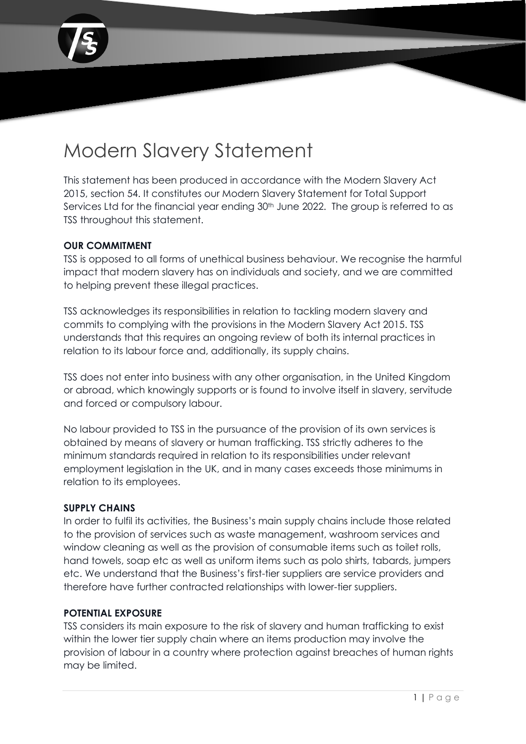

# Modern Slavery Statement

This statement has been produced in accordance with the Modern Slavery Act 2015, section 54. It constitutes our Modern Slavery Statement for Total Support Services Ltd for the financial year ending 30<sup>th</sup> June 2022. The group is referred to as TSS throughout this statement.

# **OUR COMMITMENT**

TSS is opposed to all forms of unethical business behaviour. We recognise the harmful impact that modern slavery has on individuals and society, and we are committed to helping prevent these illegal practices.

TSS acknowledges its responsibilities in relation to tackling modern slavery and commits to complying with the provisions in the Modern Slavery Act 2015. TSS understands that this requires an ongoing review of both its internal practices in relation to its labour force and, additionally, its supply chains.

TSS does not enter into business with any other organisation, in the United Kingdom or abroad, which knowingly supports or is found to involve itself in slavery, servitude and forced or compulsory labour.

No labour provided to TSS in the pursuance of the provision of its own services is obtained by means of slavery or human trafficking. TSS strictly adheres to the minimum standards required in relation to its responsibilities under relevant employment legislation in the UK, and in many cases exceeds those minimums in relation to its employees.

# **SUPPLY CHAINS**

In order to fulfil its activities, the Business's main supply chains include those related to the provision of services such as waste management, washroom services and window cleaning as well as the provision of consumable items such as toilet rolls, hand towels, soap etc as well as uniform items such as polo shirts, tabards, jumpers etc. We understand that the Business's first-tier suppliers are service providers and therefore have further contracted relationships with lower-tier suppliers.

# **POTENTIAL EXPOSURE**

TSS considers its main exposure to the risk of slavery and human trafficking to exist within the lower tier supply chain where an items production may involve the provision of labour in a country where protection against breaches of human rights may be limited.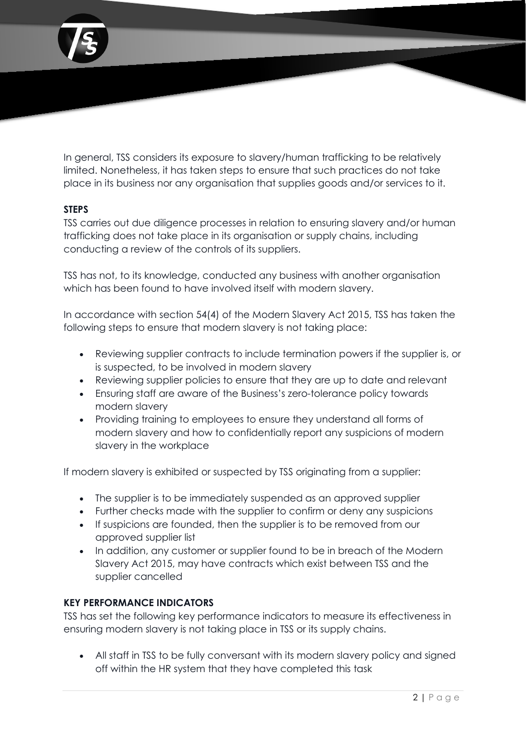

In general, TSS considers its exposure to slavery/human trafficking to be relatively limited. Nonetheless, it has taken steps to ensure that such practices do not take place in its business nor any organisation that supplies goods and/or services to it.

# **STEPS**

TSS carries out due diligence processes in relation to ensuring slavery and/or human trafficking does not take place in its organisation or supply chains, including conducting a review of the controls of its suppliers.

TSS has not, to its knowledge, conducted any business with another organisation which has been found to have involved itself with modern slavery.

In accordance with section 54(4) of the Modern Slavery Act 2015, TSS has taken the following steps to ensure that modern slavery is not taking place:

- Reviewing supplier contracts to include termination powers if the supplier is, or is suspected, to be involved in modern slavery
- Reviewing supplier policies to ensure that they are up to date and relevant
- Ensuring staff are aware of the Business's zero-tolerance policy towards modern slavery
- Providing training to employees to ensure they understand all forms of modern slavery and how to confidentially report any suspicions of modern slavery in the workplace

If modern slavery is exhibited or suspected by TSS originating from a supplier:

- The supplier is to be immediately suspended as an approved supplier
- Further checks made with the supplier to confirm or deny any suspicions
- If suspicions are founded, then the supplier is to be removed from our approved supplier list
- In addition, any customer or supplier found to be in breach of the Modern Slavery Act 2015, may have contracts which exist between TSS and the supplier cancelled

### **KEY PERFORMANCE INDICATORS**

TSS has set the following key performance indicators to measure its effectiveness in ensuring modern slavery is not taking place in TSS or its supply chains.

• All staff in TSS to be fully conversant with its modern slavery policy and signed off within the HR system that they have completed this task